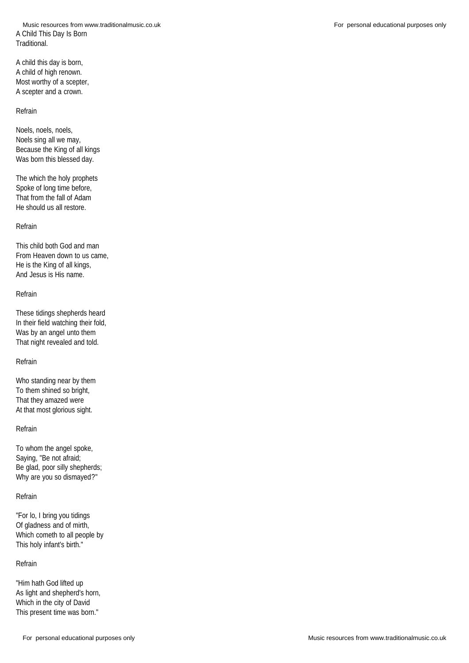A Child This Day Is Born Traditional. Music resources from www.traditionalmusic.co.uk **For personal educational purposes only** For personal educational purposes only

A child this day is born, A child of high renown. Most worthy of a scepter, A scepter and a crown.

#### Refrain

Noels, noels, noels, Noels sing all we may, Because the King of all kings Was born this blessed day.

The which the holy prophets Spoke of long time before, That from the fall of Adam He should us all restore.

### Refrain

This child both God and man From Heaven down to us came, He is the King of all kings, And Jesus is His name.

#### Refrain

These tidings shepherds heard In their field watching their fold, Was by an angel unto them That night revealed and told.

# Refrain

Who standing near by them To them shined so bright, That they amazed were At that most glorious sight.

### Refrain

To whom the angel spoke, Saying, "Be not afraid; Be glad, poor silly shepherds; Why are you so dismayed?"

# Refrain

"For lo, I bring you tidings Of gladness and of mirth, Which cometh to all people by This holy infant's birth."

# Refrain

"Him hath God lifted up As light and shepherd's horn, Which in the city of David This present time was born."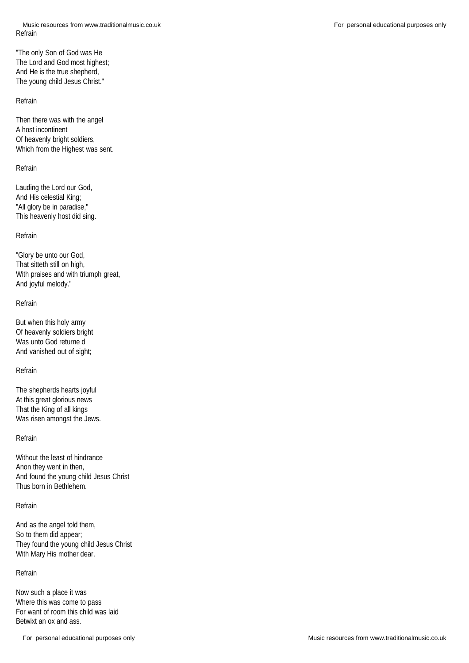"The only Son of God was He The Lord and God most highest; And He is the true shepherd, The young child Jesus Christ."

#### Refrain

Then there was with the angel A host incontinent Of heavenly bright soldiers, Which from the Highest was sent.

# Refrain

Lauding the Lord our God, And His celestial King; "All glory be in paradise," This heavenly host did sing.

### Refrain

"Glory be unto our God, That sitteth still on high, With praises and with triumph great, And joyful melody."

#### Refrain

But when this holy army Of heavenly soldiers bright Was unto God returne d And vanished out of sight;

### Refrain

The shepherds hearts joyful At this great glorious news That the King of all kings Was risen amongst the Jews.

#### Refrain

Without the least of hindrance Anon they went in then, And found the young child Jesus Christ Thus born in Bethlehem.

### Refrain

And as the angel told them, So to them did appear; They found the young child Jesus Christ With Mary His mother dear.

# Refrain

Now such a place it was Where this was come to pass For want of room this child was laid Betwixt an ox and ass.